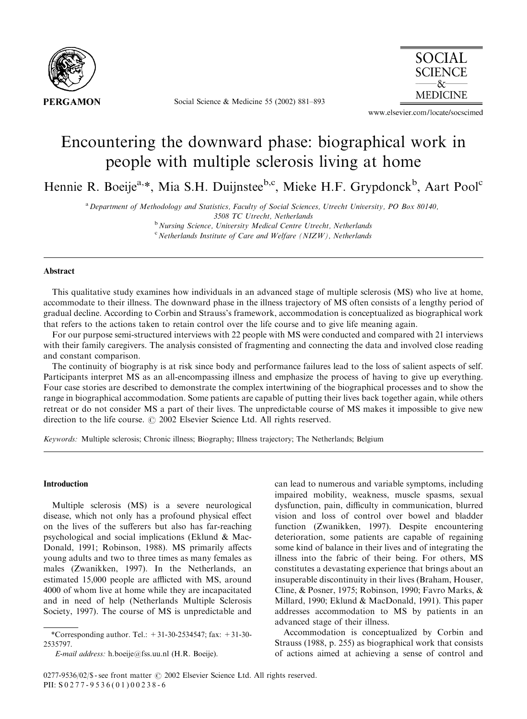

Social Science & Medicine 55 (2002) 881–893



www.elsevier.com/locate/socscimed

# Encountering the downward phase: biographical work in people with multiple sclerosis living at home

Hennie R. Boeije<sup>a,\*</sup>, Mia S.H. Duijnstee<sup>b,c</sup>, Mieke H.F. Grypdonck<sup>b</sup>, Aart Pool<sup>c</sup>

a Department of Methodology and Statistics, Faculty of Social Sciences, Utrecht University, PO Box 80140,

<sup>b</sup> Nursing Science, University Medical Centre Utrecht, Netherlands

<sup>c</sup> Netherlands Institute of Care and Welfare (NIZW), Netherlands

#### Abstract

This qualitative study examines how individuals in an advanced stage of multiple sclerosis (MS) who live at home, accommodate to their illness. The downward phase in the illness trajectory of MS often consists of a lengthy period of gradual decline. According to Corbin and Strauss's framework, accommodation is conceptualized as biographical work that refers to the actions taken to retain control over the life course and to give life meaning again.

For our purpose semi-structured interviews with 22 people with MS were conducted and compared with 21 interviews with their family caregivers. The analysis consisted of fragmenting and connecting the data and involved close reading and constant comparison.

The continuity of biography is at risk since body and performance failures lead to the loss of salient aspects of self. Participants interpret MS as an all-encompassing illness and emphasize the process of having to give up everything. Four case stories are described to demonstrate the complex intertwining of the biographical processes and to show the range in biographical accommodation. Some patients are capable of putting their lives back together again, while others retreat or do not consider MS a part of their lives. The unpredictable course of MS makes it impossible to give new direction to the life course.  $\odot$  2002 Elsevier Science Ltd. All rights reserved.

Keywords: Multiple sclerosis; Chronic illness; Biography; Illness trajectory; The Netherlands; Belgium

## Introduction

Multiple sclerosis (MS) is a severe neurological disease, which not only has a profound physical effect on the lives of the sufferers but also has far-reaching psychological and social implications (Eklund & Mac-Donald, 1991; Robinson, 1988). MS primarily affects young adults and two to three times as many females as males (Zwanikken, 1997). In the Netherlands, an estimated 15,000 people are afflicted with MS, around 4000 of whom live at home while they are incapacitated and in need of help (Netherlands Multiple Sclerosis Society, 1997). The course of MS is unpredictable and

can lead to numerous and variable symptoms, including impaired mobility, weakness, muscle spasms, sexual dysfunction, pain, difficulty in communication, blurred vision and loss of control over bowel and bladder function (Zwanikken, 1997). Despite encountering deterioration, some patients are capable of regaining some kind of balance in their lives and of integrating the illness into the fabric of their being. For others, MS constitutes a devastating experience that brings about an insuperable discontinuity in their lives (Braham, Houser, Cline, & Posner, 1975; Robinson, 1990; Favro Marks, & Millard, 1990; Eklund & MacDonald, 1991). This paper addresses accommodation to MS by patients in an advanced stage of their illness.

Accommodation is conceptualized by Corbin and Strauss (1988, p. 255) as biographical work that consists of actions aimed at achieving a sense of control and

<sup>3508</sup> TC Utrecht, Netherlands

<sup>\*</sup>Corresponding author. Tel.:  $+31-30-2534547$ ; fax:  $+31-30-$ 2535797.

E-mail address: h.boeije@fss.uu.nl (H.R. Boeije).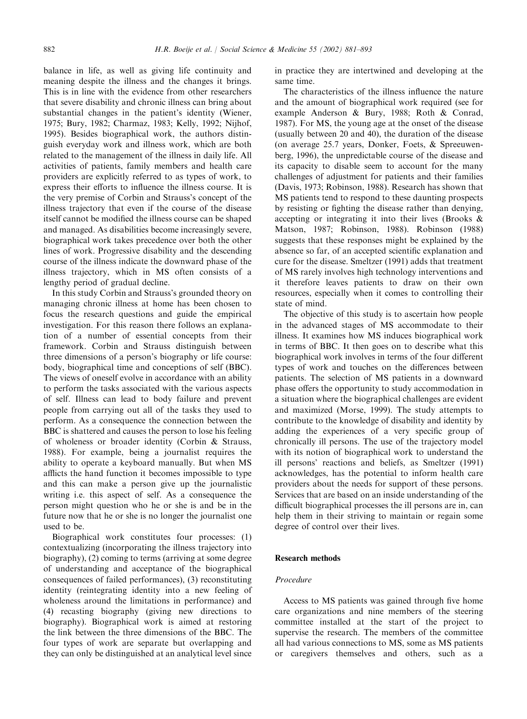balance in life, as well as giving life continuity and meaning despite the illness and the changes it brings. This is in line with the evidence from other researchers that severe disability and chronic illness can bring about substantial changes in the patient's identity (Wiener, 1975; Bury, 1982; Charmaz, 1983; Kelly, 1992; Nijhof, 1995). Besides biographical work, the authors distinguish everyday work and illness work, which are both related to the management of the illness in daily life. All activities of patients, family members and health care providers are explicitly referred to as types of work, to express their efforts to influence the illness course. It is the very premise of Corbin and Strauss's concept of the illness trajectory that even if the course of the disease itself cannot be modified the illness course can be shaped and managed. As disabilities become increasingly severe, biographical work takes precedence over both the other lines of work. Progressive disability and the descending course of the illness indicate the downward phase of the illness trajectory, which in MS often consists of a lengthy period of gradual decline.

In this study Corbin and Strauss's grounded theory on managing chronic illness at home has been chosen to focus the research questions and guide the empirical investigation. For this reason there follows an explanation of a number of essential concepts from their framework. Corbin and Strauss distinguish between three dimensions of a person's biography or life course: body, biographical time and conceptions of self (BBC). The views of oneself evolve in accordance with an ability to perform the tasks associated with the various aspects of self. Illness can lead to body failure and prevent people from carrying out all of the tasks they used to perform. As a consequence the connection between the BBC is shattered and causes the person to lose his feeling of wholeness or broader identity (Corbin & Strauss, 1988). For example, being a journalist requires the ability to operate a keyboard manually. But when MS afflicts the hand function it becomes impossible to type and this can make a person give up the journalistic writing i.e. this aspect of self. As a consequence the person might question who he or she is and be in the future now that he or she is no longer the journalist one used to be.

Biographical work constitutes four processes: (1) contextualizing (incorporating the illness trajectory into biography), (2) coming to terms (arriving at some degree of understanding and acceptance of the biographical consequences of failed performances), (3) reconstituting identity (reintegrating identity into a new feeling of wholeness around the limitations in performance) and (4) recasting biography (giving new directions to biography). Biographical work is aimed at restoring the link between the three dimensions of the BBC. The four types of work are separate but overlapping and they can only be distinguished at an analytical level since in practice they are intertwined and developing at the same time.

The characteristics of the illness influence the nature and the amount of biographical work required (see for example Anderson & Bury, 1988; Roth & Conrad, 1987). For MS, the young age at the onset of the disease (usually between 20 and 40), the duration of the disease (on average 25.7 years, Donker, Foets, & Spreeuwenberg, 1996), the unpredictable course of the disease and its capacity to disable seem to account for the many challenges of adjustment for patients and their families (Davis, 1973; Robinson, 1988). Research has shown that MS patients tend to respond to these daunting prospects by resisting or fighting the disease rather than denying, accepting or integrating it into their lives (Brooks & Matson, 1987; Robinson, 1988). Robinson (1988) suggests that these responses might be explained by the absence so far, of an accepted scientific explanation and cure for the disease. Smeltzer (1991) adds that treatment of MS rarely involves high technology interventions and it therefore leaves patients to draw on their own resources, especially when it comes to controlling their state of mind.

The objective of this study is to ascertain how people in the advanced stages of MS accommodate to their illness. It examines how MS induces biographical work in terms of BBC. It then goes on to describe what this biographical work involves in terms of the four different types of work and touches on the differences between patients. The selection of MS patients in a downward phase offers the opportunity to study accommodation in a situation where the biographical challenges are evident and maximized (Morse, 1999). The study attempts to contribute to the knowledge of disability and identity by adding the experiences of a very specific group of chronically ill persons. The use of the trajectory model with its notion of biographical work to understand the ill persons' reactions and beliefs, as Smeltzer (1991) acknowledges, has the potential to inform health care providers about the needs for support of these persons. Services that are based on an inside understanding of the difficult biographical processes the ill persons are in, can help them in their striving to maintain or regain some degree of control over their lives.

#### Research methods

#### Procedure

Access to MS patients was gained through five home care organizations and nine members of the steering committee installed at the start of the project to supervise the research. The members of the committee all had various connections to MS, some as MS patients or caregivers themselves and others, such as a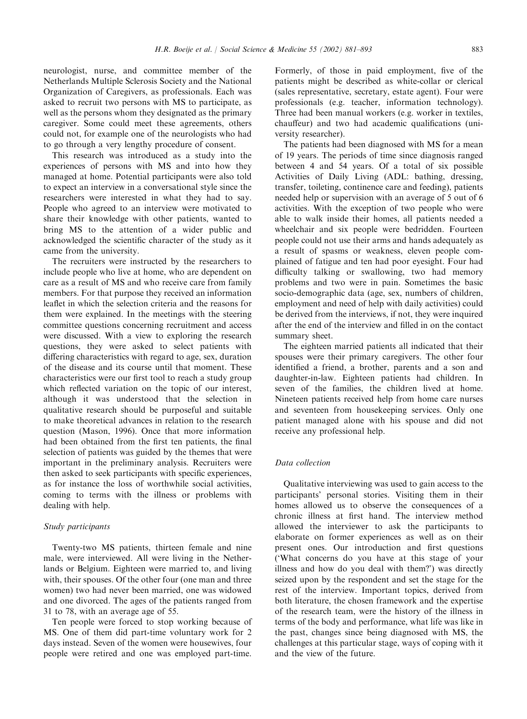neurologist, nurse, and committee member of the Netherlands Multiple Sclerosis Society and the National Organization of Caregivers, as professionals. Each was asked to recruit two persons with MS to participate, as well as the persons whom they designated as the primary caregiver. Some could meet these agreements, others could not, for example one of the neurologists who had to go through a very lengthy procedure of consent.

This research was introduced as a study into the experiences of persons with MS and into how they managed at home. Potential participants were also told to expect an interview in a conversational style since the researchers were interested in what they had to say. People who agreed to an interview were motivated to share their knowledge with other patients, wanted to bring MS to the attention of a wider public and acknowledged the scientific character of the study as it came from the university.

The recruiters were instructed by the researchers to include people who live at home, who are dependent on care as a result of MS and who receive care from family members. For that purpose they received an information leaflet in which the selection criteria and the reasons for them were explained. In the meetings with the steering committee questions concerning recruitment and access were discussed. With a view to exploring the research questions, they were asked to select patients with differing characteristics with regard to age, sex, duration of the disease and its course until that moment. These characteristics were our first tool to reach a study group which reflected variation on the topic of our interest, although it was understood that the selection in qualitative research should be purposeful and suitable to make theoretical advances in relation to the research question (Mason, 1996). Once that more information had been obtained from the first ten patients, the final selection of patients was guided by the themes that were important in the preliminary analysis. Recruiters were then asked to seek participants with specific experiences, as for instance the loss of worthwhile social activities, coming to terms with the illness or problems with dealing with help.

## Study participants

Twenty-two MS patients, thirteen female and nine male, were interviewed. All were living in the Netherlands or Belgium. Eighteen were married to, and living with, their spouses. Of the other four (one man and three women) two had never been married, one was widowed and one divorced. The ages of the patients ranged from 31 to 78, with an average age of 55.

Ten people were forced to stop working because of MS. One of them did part-time voluntary work for 2 days instead. Seven of the women were housewives, four people were retired and one was employed part-time.

Formerly, of those in paid employment, five of the patients might be described as white-collar or clerical (sales representative, secretary, estate agent). Four were professionals (e.g. teacher, information technology). Three had been manual workers (e.g. worker in textiles, chauffeur) and two had academic qualifications (university researcher).

The patients had been diagnosed with MS for a mean of 19 years. The periods of time since diagnosis ranged between 4 and 54 years. Of a total of six possible Activities of Daily Living (ADL: bathing, dressing, transfer, toileting, continence care and feeding), patients needed help or supervision with an average of 5 out of 6 activities. With the exception of two people who were able to walk inside their homes, all patients needed a wheelchair and six people were bedridden. Fourteen people could not use their arms and hands adequately as a result of spasms or weakness, eleven people complained of fatigue and ten had poor eyesight. Four had difficulty talking or swallowing, two had memory problems and two were in pain. Sometimes the basic socio-demographic data (age, sex, numbers of children, employment and need of help with daily activities) could be derived from the interviews, if not, they were inquired after the end of the interview and filled in on the contact summary sheet.

The eighteen married patients all indicated that their spouses were their primary caregivers. The other four identified a friend, a brother, parents and a son and daughter-in-law. Eighteen patients had children. In seven of the families, the children lived at home. Nineteen patients received help from home care nurses and seventeen from housekeeping services. Only one patient managed alone with his spouse and did not receive any professional help.

# Data collection

Qualitative interviewing was used to gain access to the participants' personal stories. Visiting them in their homes allowed us to observe the consequences of a chronic illness at first hand. The interview method allowed the interviewer to ask the participants to elaborate on former experiences as well as on their present ones. Our introduction and first questions ('What concerns do you have at this stage of your illness and how do you deal with them?') was directly seized upon by the respondent and set the stage for the rest of the interview. Important topics, derived from both literature, the chosen framework and the expertise of the research team, were the history of the illness in terms of the body and performance, what life was like in the past, changes since being diagnosed with MS, the challenges at this particular stage, ways of coping with it and the view of the future.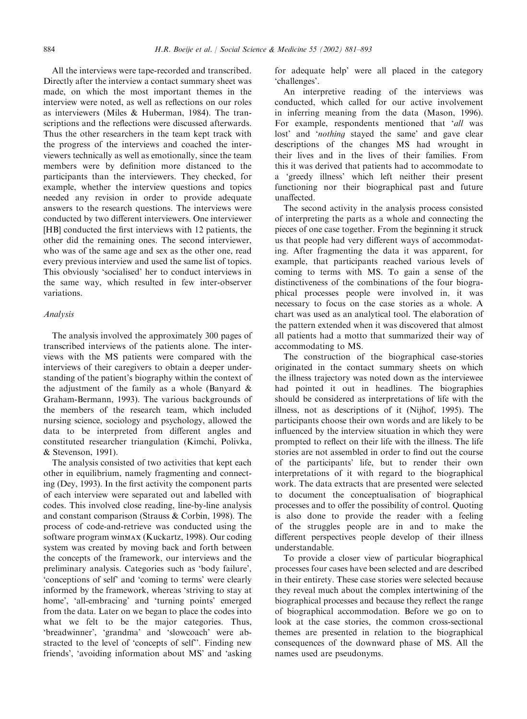All the interviews were tape-recorded and transcribed. Directly after the interview a contact summary sheet was made, on which the most important themes in the interview were noted, as well as reflections on our roles as interviewers (Miles & Huberman, 1984). The transcriptions and the reflections were discussed afterwards. Thus the other researchers in the team kept track with the progress of the interviews and coached the interviewers technically as well as emotionally, since the team members were by definition more distanced to the participants than the interviewers. They checked, for example, whether the interview questions and topics needed any revision in order to provide adequate answers to the research questions. The interviews were conducted by two different interviewers. One interviewer [HB] conducted the first interviews with 12 patients, the other did the remaining ones. The second interviewer, who was of the same age and sex as the other one, read every previous interview and used the same list of topics. This obviously 'socialised' her to conduct interviews in the same way, which resulted in few inter-observer variations.

## Analysis

The analysis involved the approximately 300 pages of transcribed interviews of the patients alone. The interviews with the MS patients were compared with the interviews of their caregivers to obtain a deeper understanding of the patient's biography within the context of the adjustment of the family as a whole (Banyard & Graham-Bermann, 1993). The various backgrounds of the members of the research team, which included nursing science, sociology and psychology, allowed the data to be interpreted from different angles and constituted researcher triangulation (Kimchi, Polivka, & Stevenson, 1991).

The analysis consisted of two activities that kept each other in equilibrium, namely fragmenting and connecting (Dey, 1993). In the first activity the component parts of each interview were separated out and labelled with codes. This involved close reading, line-by-line analysis and constant comparison (Strauss & Corbin, 1998). The process of code-and-retrieve was conducted using the software program winmax (Kuckartz, 1998). Our coding system was created by moving back and forth between the concepts of the framework, our interviews and the preliminary analysis. Categories such as 'body failure', 'conceptions of self' and 'coming to terms' were clearly informed by the framework, whereas 'striving to stay at home', 'all-embracing' and 'turning points' emerged from the data. Later on we began to place the codes into what we felt to be the major categories. Thus, 'breadwinner', 'grandma' and 'slowcoach' were abstracted to the level of 'concepts of self''. Finding new friends', 'avoiding information about MS' and 'asking for adequate help' were all placed in the category 'challenges'.

An interpretive reading of the interviews was conducted, which called for our active involvement in inferring meaning from the data (Mason, 1996). For example, respondents mentioned that 'all was lost' and 'nothing stayed the same' and gave clear descriptions of the changes MS had wrought in their lives and in the lives of their families. From this it was derived that patients had to accommodate to a 'greedy illness' which left neither their present functioning nor their biographical past and future unaffected.

The second activity in the analysis process consisted of interpreting the parts as a whole and connecting the pieces of one case together. From the beginning it struck us that people had very different ways of accommodating. After fragmenting the data it was apparent, for example, that participants reached various levels of coming to terms with MS. To gain a sense of the distinctiveness of the combinations of the four biographical processes people were involved in, it was necessary to focus on the case stories as a whole. A chart was used as an analytical tool. The elaboration of the pattern extended when it was discovered that almost all patients had a motto that summarized their way of accommodating to MS.

The construction of the biographical case-stories originated in the contact summary sheets on which the illness trajectory was noted down as the interviewee had pointed it out in headlines. The biographies should be considered as interpretations of life with the illness, not as descriptions of it (Nijhof, 1995). The participants choose their own words and are likely to be influenced by the interview situation in which they were prompted to reflect on their life with the illness. The life stories are not assembled in order to find out the course of the participants' life, but to render their own interpretations of it with regard to the biographical work. The data extracts that are presented were selected to document the conceptualisation of biographical processes and to offer the possibility of control. Quoting is also done to provide the reader with a feeling of the struggles people are in and to make the different perspectives people develop of their illness understandable.

To provide a closer view of particular biographical processes four cases have been selected and are described in their entirety. These case stories were selected because they reveal much about the complex intertwining of the biographical processes and because they reflect the range of biographical accommodation. Before we go on to look at the case stories, the common cross-sectional themes are presented in relation to the biographical consequences of the downward phase of MS. All the names used are pseudonyms.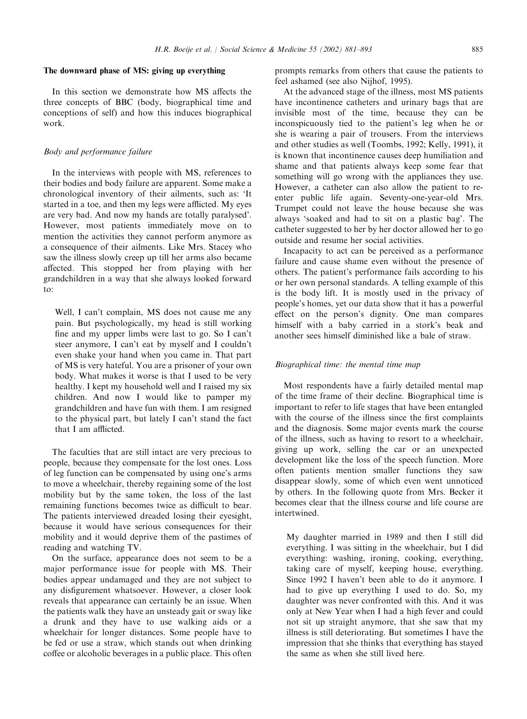# The downward phase of MS: giving up everything

In this section we demonstrate how MS affects the three concepts of BBC (body, biographical time and conceptions of self) and how this induces biographical work.

## Body and performance failure

In the interviews with people with MS, references to their bodies and body failure are apparent. Some make a chronological inventory of their ailments, such as: 'It started in a toe, and then my legs were afflicted. My eyes are very bad. And now my hands are totally paralysed'. However, most patients immediately move on to mention the activities they cannot perform anymore as a consequence of their ailments. Like Mrs. Stacey who saw the illness slowly creep up till her arms also became affected. This stopped her from playing with her grandchildren in a way that she always looked forward to:

Well, I can't complain, MS does not cause me any pain. But psychologically, my head is still working fine and my upper limbs were last to go. So I can't steer anymore, I can't eat by myself and I couldn't even shake your hand when you came in. That part of MS is very hateful. You are a prisoner of your own body. What makes it worse is that I used to be very healthy. I kept my household well and I raised my six children. And now I would like to pamper my grandchildren and have fun with them. I am resigned to the physical part, but lately I can't stand the fact that I am afflicted.

The faculties that are still intact are very precious to people, because they compensate for the lost ones. Loss of leg function can be compensated by using one's arms to move a wheelchair, thereby regaining some of the lost mobility but by the same token, the loss of the last remaining functions becomes twice as difficult to bear. The patients interviewed dreaded losing their eyesight, because it would have serious consequences for their mobility and it would deprive them of the pastimes of reading and watching TV.

On the surface, appearance does not seem to be a major performance issue for people with MS. Their bodies appear undamaged and they are not subject to any disfigurement whatsoever. However, a closer look reveals that appearance can certainly be an issue. When the patients walk they have an unsteady gait or sway like a drunk and they have to use walking aids or a wheelchair for longer distances. Some people have to be fed or use a straw, which stands out when drinking coffee or alcoholic beverages in a public place. This often prompts remarks from others that cause the patients to feel ashamed (see also Nijhof, 1995).

At the advanced stage of the illness, most MS patients have incontinence catheters and urinary bags that are invisible most of the time, because they can be inconspicuously tied to the patient's leg when he or she is wearing a pair of trousers. From the interviews and other studies as well (Toombs, 1992; Kelly, 1991), it is known that incontinence causes deep humiliation and shame and that patients always keep some fear that something will go wrong with the appliances they use. However, a catheter can also allow the patient to reenter public life again. Seventy-one-year-old Mrs. Trumpet could not leave the house because she was always 'soaked and had to sit on a plastic bag'. The catheter suggested to her by her doctor allowed her to go outside and resume her social activities.

Incapacity to act can be perceived as a performance failure and cause shame even without the presence of others. The patient's performance fails according to his or her own personal standards. A telling example of this is the body lift. It is mostly used in the privacy of people's homes, yet our data show that it has a powerful effect on the person's dignity. One man compares himself with a baby carried in a stork's beak and another sees himself diminished like a bale of straw.

#### Biographical time: the mental time map

Most respondents have a fairly detailed mental map of the time frame of their decline. Biographical time is important to refer to life stages that have been entangled with the course of the illness since the first complaints and the diagnosis. Some major events mark the course of the illness, such as having to resort to a wheelchair, giving up work, selling the car or an unexpected development like the loss of the speech function. More often patients mention smaller functions they saw disappear slowly, some of which even went unnoticed by others. In the following quote from Mrs. Becker it becomes clear that the illness course and life course are intertwined.

My daughter married in 1989 and then I still did everything. I was sitting in the wheelchair, but I did everything: washing, ironing, cooking, everything, taking care of myself, keeping house, everything. Since 1992 I haven't been able to do it anymore. I had to give up everything I used to do. So, my daughter was never confronted with this. And it was only at New Year when I had a high fever and could not sit up straight anymore, that she saw that my illness is still deteriorating. But sometimes I have the impression that she thinks that everything has stayed the same as when she still lived here.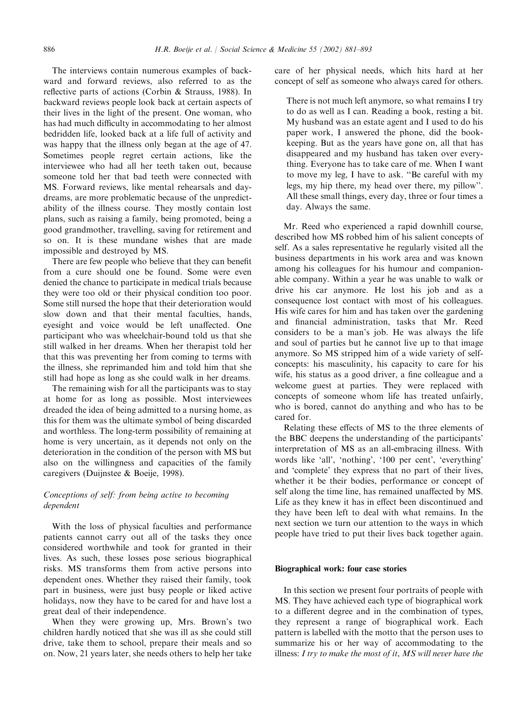The interviews contain numerous examples of backward and forward reviews, also referred to as the reflective parts of actions (Corbin & Strauss, 1988). In backward reviews people look back at certain aspects of their lives in the light of the present. One woman, who has had much difficulty in accommodating to her almost bedridden life, looked back at a life full of activity and was happy that the illness only began at the age of 47. Sometimes people regret certain actions, like the interviewee who had all her teeth taken out, because someone told her that bad teeth were connected with MS. Forward reviews, like mental rehearsals and daydreams, are more problematic because of the unpredictability of the illness course. They mostly contain lost plans, such as raising a family, being promoted, being a good grandmother, travelling, saving for retirement and so on. It is these mundane wishes that are made impossible and destroyed by MS.

There are few people who believe that they can benefit from a cure should one be found. Some were even denied the chance to participate in medical trials because they were too old or their physical condition too poor. Some still nursed the hope that their deterioration would slow down and that their mental faculties, hands, eyesight and voice would be left unaffected. One participant who was wheelchair-bound told us that she still walked in her dreams. When her therapist told her that this was preventing her from coming to terms with the illness, she reprimanded him and told him that she still had hope as long as she could walk in her dreams.

The remaining wish for all the participants was to stay at home for as long as possible. Most interviewees dreaded the idea of being admitted to a nursing home, as this for them was the ultimate symbol of being discarded and worthless. The long-term possibility of remaining at home is very uncertain, as it depends not only on the deterioration in the condition of the person with MS but also on the willingness and capacities of the family caregivers (Duijnstee & Boeije, 1998).

# Conceptions of self: from being active to becoming dependent

With the loss of physical faculties and performance patients cannot carry out all of the tasks they once considered worthwhile and took for granted in their lives. As such, these losses pose serious biographical risks. MS transforms them from active persons into dependent ones. Whether they raised their family, took part in business, were just busy people or liked active holidays, now they have to be cared for and have lost a great deal of their independence.

When they were growing up, Mrs. Brown's two children hardly noticed that she was ill as she could still drive, take them to school, prepare their meals and so on. Now, 21 years later, she needs others to help her take

care of her physical needs, which hits hard at her concept of self as someone who always cared for others.

There is not much left anymore, so what remains I try to do as well as I can. Reading a book, resting a bit. My husband was an estate agent and I used to do his paper work, I answered the phone, did the bookkeeping. But as the years have gone on, all that has disappeared and my husband has taken over everything. Everyone has to take care of me. When I want to move my leg, I have to ask. ''Be careful with my legs, my hip there, my head over there, my pillow''. All these small things, every day, three or four times a day. Always the same.

Mr. Reed who experienced a rapid downhill course, described how MS robbed him of his salient concepts of self. As a sales representative he regularly visited all the business departments in his work area and was known among his colleagues for his humour and companionable company. Within a year he was unable to walk or drive his car anymore. He lost his job and as a consequence lost contact with most of his colleagues. His wife cares for him and has taken over the gardening and financial administration, tasks that Mr. Reed considers to be a man's job. He was always the life and soul of parties but he cannot live up to that image anymore. So MS stripped him of a wide variety of selfconcepts: his masculinity, his capacity to care for his wife, his status as a good driver, a fine colleague and a welcome guest at parties. They were replaced with concepts of someone whom life has treated unfairly, who is bored, cannot do anything and who has to be cared for.

Relating these effects of MS to the three elements of the BBC deepens the understanding of the participants' interpretation of MS as an all-embracing illness. With words like 'all', 'nothing', '100 per cent', 'everything' and 'complete' they express that no part of their lives, whether it be their bodies, performance or concept of self along the time line, has remained unaffected by MS. Life as they knew it has in effect been discontinued and they have been left to deal with what remains. In the next section we turn our attention to the ways in which people have tried to put their lives back together again.

# Biographical work: four case stories

In this section we present four portraits of people with MS. They have achieved each type of biographical work to a different degree and in the combination of types, they represent a range of biographical work. Each pattern is labelled with the motto that the person uses to summarize his or her way of accommodating to the illness: I try to make the most of it, MS will never have the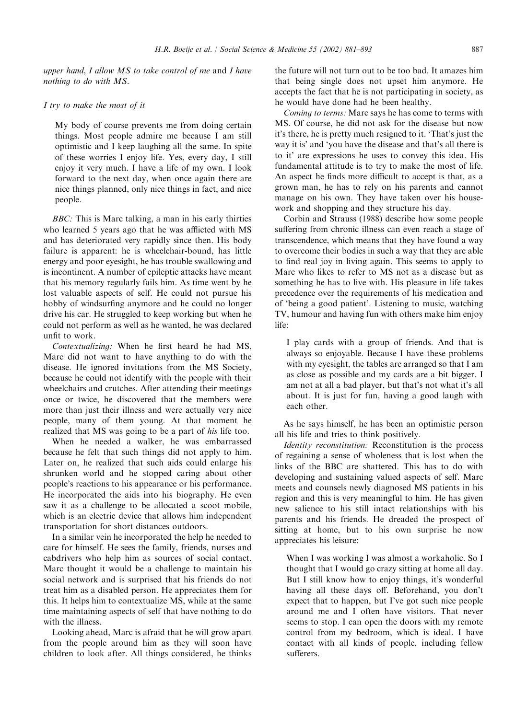upper hand, I allow MS to take control of me and I have nothing to do with MS.

#### I try to make the most of it

My body of course prevents me from doing certain things. Most people admire me because I am still optimistic and I keep laughing all the same. In spite of these worries I enjoy life. Yes, every day, I still enjoy it very much. I have a life of my own. I look forward to the next day, when once again there are nice things planned, only nice things in fact, and nice people.

BBC: This is Marc talking, a man in his early thirties who learned 5 years ago that he was afflicted with MS and has deteriorated very rapidly since then. His body failure is apparent: he is wheelchair-bound, has little energy and poor eyesight, he has trouble swallowing and is incontinent. A number of epileptic attacks have meant that his memory regularly fails him. As time went by he lost valuable aspects of self. He could not pursue his hobby of windsurfing anymore and he could no longer drive his car. He struggled to keep working but when he could not perform as well as he wanted, he was declared unfit to work.

Contextualizing: When he first heard he had MS, Marc did not want to have anything to do with the disease. He ignored invitations from the MS Society, because he could not identify with the people with their wheelchairs and crutches. After attending their meetings once or twice, he discovered that the members were more than just their illness and were actually very nice people, many of them young. At that moment he realized that MS was going to be a part of his life too.

When he needed a walker, he was embarrassed because he felt that such things did not apply to him. Later on, he realized that such aids could enlarge his shrunken world and he stopped caring about other people's reactions to his appearance or his performance. He incorporated the aids into his biography. He even saw it as a challenge to be allocated a scoot mobile, which is an electric device that allows him independent transportation for short distances outdoors.

In a similar vein he incorporated the help he needed to care for himself. He sees the family, friends, nurses and cabdrivers who help him as sources of social contact. Marc thought it would be a challenge to maintain his social network and is surprised that his friends do not treat him as a disabled person. He appreciates them for this. It helps him to contextualize MS, while at the same time maintaining aspects of self that have nothing to do with the illness.

Looking ahead, Marc is afraid that he will grow apart from the people around him as they will soon have children to look after. All things considered, he thinks the future will not turn out to be too bad. It amazes him that being single does not upset him anymore. He accepts the fact that he is not participating in society, as he would have done had he been healthy.

Coming to terms: Marc says he has come to terms with MS. Of course, he did not ask for the disease but now it's there, he is pretty much resigned to it. 'That's just the way it is' and 'you have the disease and that's all there is to it' are expressions he uses to convey this idea. His fundamental attitude is to try to make the most of life. An aspect he finds more difficult to accept is that, as a grown man, he has to rely on his parents and cannot manage on his own. They have taken over his housework and shopping and they structure his day.

Corbin and Strauss (1988) describe how some people suffering from chronic illness can even reach a stage of transcendence, which means that they have found a way to overcome their bodies in such a way that they are able to find real joy in living again. This seems to apply to Marc who likes to refer to MS not as a disease but as something he has to live with. His pleasure in life takes precedence over the requirements of his medication and of 'being a good patient'. Listening to music, watching TV, humour and having fun with others make him enjoy life:

I play cards with a group of friends. And that is always so enjoyable. Because I have these problems with my eyesight, the tables are arranged so that I am as close as possible and my cards are a bit bigger. I am not at all a bad player, but that's not what it's all about. It is just for fun, having a good laugh with each other.

As he says himself, he has been an optimistic person all his life and tries to think positively.

Identity reconstitution: Reconstitution is the process of regaining a sense of wholeness that is lost when the links of the BBC are shattered. This has to do with developing and sustaining valued aspects of self. Marc meets and counsels newly diagnosed MS patients in his region and this is very meaningful to him. He has given new salience to his still intact relationships with his parents and his friends. He dreaded the prospect of sitting at home, but to his own surprise he now appreciates his leisure:

When I was working I was almost a workaholic. So I thought that I would go crazy sitting at home all day. But I still know how to enjoy things, it's wonderful having all these days off. Beforehand, you don't expect that to happen, but I've got such nice people around me and I often have visitors. That never seems to stop. I can open the doors with my remote control from my bedroom, which is ideal. I have contact with all kinds of people, including fellow sufferers.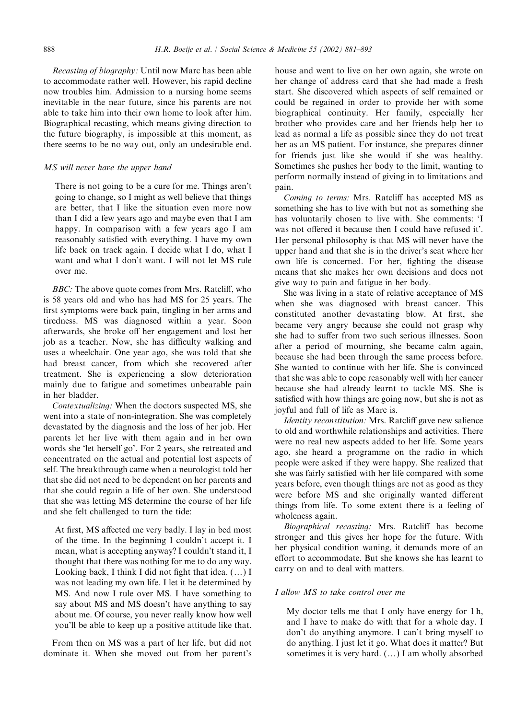Recasting of biography: Until now Marc has been able to accommodate rather well. However, his rapid decline now troubles him. Admission to a nursing home seems inevitable in the near future, since his parents are not able to take him into their own home to look after him. Biographical recasting, which means giving direction to the future biography, is impossible at this moment, as there seems to be no way out, only an undesirable end.

#### MS will never have the upper hand

There is not going to be a cure for me. Things aren't going to change, so I might as well believe that things are better, that I like the situation even more now than I did a few years ago and maybe even that I am happy. In comparison with a few years ago I am reasonably satisfied with everything. I have my own life back on track again. I decide what I do, what I want and what I don't want. I will not let MS rule over me.

BBC: The above quote comes from Mrs. Ratcliff, who is 58 years old and who has had MS for 25 years. The first symptoms were back pain, tingling in her arms and tiredness. MS was diagnosed within a year. Soon afterwards, she broke off her engagement and lost her job as a teacher. Now, she has difficulty walking and uses a wheelchair. One year ago, she was told that she had breast cancer, from which she recovered after treatment. She is experiencing a slow deterioration mainly due to fatigue and sometimes unbearable pain in her bladder.

Contextualizing: When the doctors suspected MS, she went into a state of non-integration. She was completely devastated by the diagnosis and the loss of her job. Her parents let her live with them again and in her own words she 'let herself go'. For 2 years, she retreated and concentrated on the actual and potential lost aspects of self. The breakthrough came when a neurologist told her that she did not need to be dependent on her parents and that she could regain a life of her own. She understood that she was letting MS determine the course of her life and she felt challenged to turn the tide:

At first, MS affected me very badly. I lay in bed most of the time. In the beginning I couldn't accept it. I mean, what is accepting anyway? I couldn't stand it, I thought that there was nothing for me to do any way. Looking back, I think I did not fight that idea.  $(...)$  I was not leading my own life. I let it be determined by MS. And now I rule over MS. I have something to say about MS and MS doesn't have anything to say about me. Of course, you never really know how well you'll be able to keep up a positive attitude like that.

From then on MS was a part of her life, but did not dominate it. When she moved out from her parent's

house and went to live on her own again, she wrote on her change of address card that she had made a fresh start. She discovered which aspects of self remained or could be regained in order to provide her with some biographical continuity. Her family, especially her brother who provides care and her friends help her to lead as normal a life as possible since they do not treat her as an MS patient. For instance, she prepares dinner for friends just like she would if she was healthy. Sometimes she pushes her body to the limit, wanting to perform normally instead of giving in to limitations and pain.

Coming to terms: Mrs. Ratcliff has accepted MS as something she has to live with but not as something she has voluntarily chosen to live with. She comments: 'I was not offered it because then I could have refused it'. Her personal philosophy is that MS will never have the upper hand and that she is in the driver's seat where her own life is concerned. For her, fighting the disease means that she makes her own decisions and does not give way to pain and fatigue in her body.

She was living in a state of relative acceptance of MS when she was diagnosed with breast cancer. This constituted another devastating blow. At first, she became very angry because she could not grasp why she had to suffer from two such serious illnesses. Soon after a period of mourning, she became calm again, because she had been through the same process before. She wanted to continue with her life. She is convinced that she was able to cope reasonably well with her cancer because she had already learnt to tackle MS. She is satisfied with how things are going now, but she is not as joyful and full of life as Marc is.

Identity reconstitution: Mrs. Ratcliff gave new salience to old and worthwhile relationships and activities. There were no real new aspects added to her life. Some years ago, she heard a programme on the radio in which people were asked if they were happy. She realized that she was fairly satisfied with her life compared with some years before, even though things are not as good as they were before MS and she originally wanted different things from life. To some extent there is a feeling of wholeness again.

Biographical recasting: Mrs. Ratcliff has become stronger and this gives her hope for the future. With her physical condition waning, it demands more of an effort to accommodate. But she knows she has learnt to carry on and to deal with matters.

#### I allow MS to take control over me

My doctor tells me that I only have energy for 1 h, and I have to make do with that for a whole day. I don't do anything anymore. I can't bring myself to do anything. I just let it go. What does it matter? But sometimes it is very hard.  $(...)$  I am wholly absorbed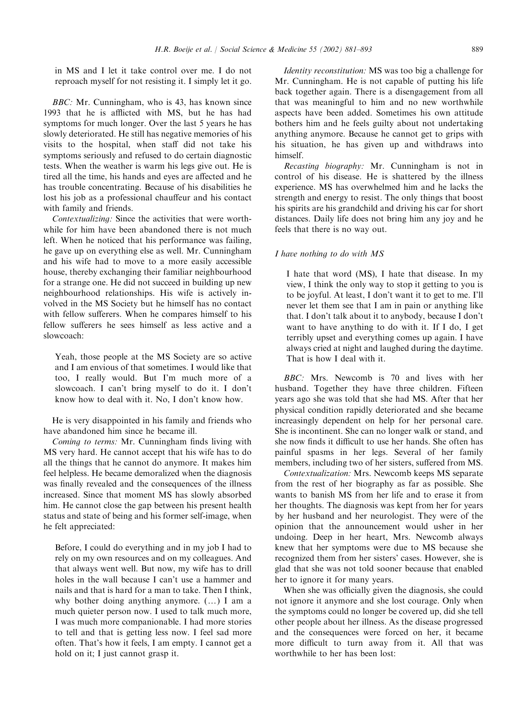in MS and I let it take control over me. I do not reproach myself for not resisting it. I simply let it go.

BBC: Mr. Cunningham, who is 43, has known since 1993 that he is afflicted with MS, but he has had symptoms for much longer. Over the last 5 years he has slowly deteriorated. He still has negative memories of his visits to the hospital, when staff did not take his symptoms seriously and refused to do certain diagnostic tests. When the weather is warm his legs give out. He is tired all the time, his hands and eyes are affected and he has trouble concentrating. Because of his disabilities he lost his job as a professional chauffeur and his contact with family and friends.

Contextualizing: Since the activities that were worthwhile for him have been abandoned there is not much left. When he noticed that his performance was failing, he gave up on everything else as well. Mr. Cunningham and his wife had to move to a more easily accessible house, thereby exchanging their familiar neighbourhood for a strange one. He did not succeed in building up new neighbourhood relationships. His wife is actively involved in the MS Society but he himself has no contact with fellow sufferers. When he compares himself to his fellow sufferers he sees himself as less active and a slowcoach:

Yeah, those people at the MS Society are so active and I am envious of that sometimes. I would like that too, I really would. But I'm much more of a slowcoach. I can't bring myself to do it. I don't know how to deal with it. No, I don't know how.

He is very disappointed in his family and friends who have abandoned him since he became ill.

Coming to terms: Mr. Cunningham finds living with MS very hard. He cannot accept that his wife has to do all the things that he cannot do anymore. It makes him feel helpless. He became demoralized when the diagnosis was finally revealed and the consequences of the illness increased. Since that moment MS has slowly absorbed him. He cannot close the gap between his present health status and state of being and his former self-image, when he felt appreciated:

Before, I could do everything and in my job I had to rely on my own resources and on my colleagues. And that always went well. But now, my wife has to drill holes in the wall because I can't use a hammer and nails and that is hard for a man to take. Then I think, why bother doing anything anymore.  $(...)$  I am a much quieter person now. I used to talk much more, I was much more companionable. I had more stories to tell and that is getting less now. I feel sad more often. That's how it feels, I am empty. I cannot get a hold on it; I just cannot grasp it.

Identity reconstitution: MS was too big a challenge for Mr. Cunningham. He is not capable of putting his life back together again. There is a disengagement from all that was meaningful to him and no new worthwhile aspects have been added. Sometimes his own attitude bothers him and he feels guilty about not undertaking anything anymore. Because he cannot get to grips with his situation, he has given up and withdraws into himself.

Recasting biography: Mr. Cunningham is not in control of his disease. He is shattered by the illness experience. MS has overwhelmed him and he lacks the strength and energy to resist. The only things that boost his spirits are his grandchild and driving his car for short distances. Daily life does not bring him any joy and he feels that there is no way out.

#### I have nothing to do with MS

I hate that word (MS), I hate that disease. In my view, I think the only way to stop it getting to you is to be joyful. At least, I don't want it to get to me. I'll never let them see that I am in pain or anything like that. I don't talk about it to anybody, because I don't want to have anything to do with it. If I do, I get terribly upset and everything comes up again. I have always cried at night and laughed during the daytime. That is how I deal with it.

BBC: Mrs. Newcomb is 70 and lives with her husband. Together they have three children. Fifteen years ago she was told that she had MS. After that her physical condition rapidly deteriorated and she became increasingly dependent on help for her personal care. She is incontinent. She can no longer walk or stand, and she now finds it difficult to use her hands. She often has painful spasms in her legs. Several of her family members, including two of her sisters, suffered from MS.

Contextualization: Mrs. Newcomb keeps MS separate from the rest of her biography as far as possible. She wants to banish MS from her life and to erase it from her thoughts. The diagnosis was kept from her for years by her husband and her neurologist. They were of the opinion that the announcement would usher in her undoing. Deep in her heart, Mrs. Newcomb always knew that her symptoms were due to MS because she recognized them from her sisters' cases. However, she is glad that she was not told sooner because that enabled her to ignore it for many years.

When she was officially given the diagnosis, she could not ignore it anymore and she lost courage. Only when the symptoms could no longer be covered up, did she tell other people about her illness. As the disease progressed and the consequences were forced on her, it became more difficult to turn away from it. All that was worthwhile to her has been lost: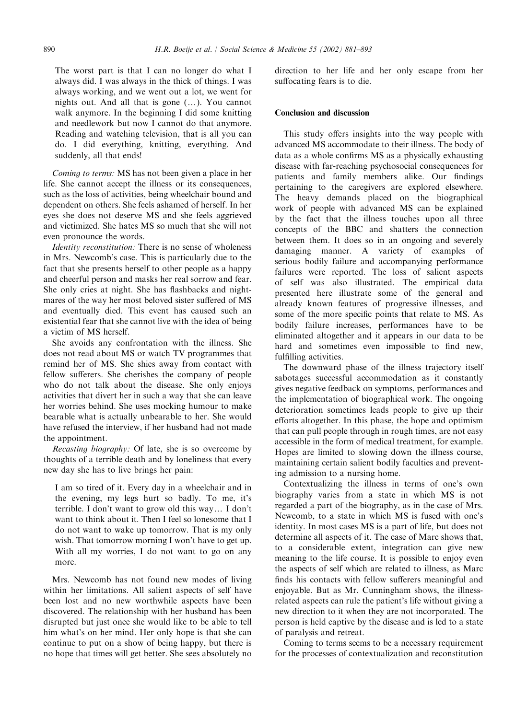The worst part is that I can no longer do what I always did. I was always in the thick of things. I was always working, and we went out a lot, we went for nights out. And all that is gone (...). You cannot walk anymore. In the beginning I did some knitting and needlework but now I cannot do that anymore. Reading and watching television, that is all you can do. I did everything, knitting, everything. And suddenly, all that ends!

Coming to terms: MS has not been given a place in her life. She cannot accept the illness or its consequences, such as the loss of activities, being wheelchair bound and dependent on others. She feels ashamed of herself. In her eyes she does not deserve MS and she feels aggrieved and victimized. She hates MS so much that she will not even pronounce the words.

Identity reconstitution: There is no sense of wholeness in Mrs. Newcomb's case. This is particularly due to the fact that she presents herself to other people as a happy and cheerful person and masks her real sorrow and fear. She only cries at night. She has flashbacks and nightmares of the way her most beloved sister suffered of MS and eventually died. This event has caused such an existential fear that she cannot live with the idea of being a victim of MS herself.

She avoids any confrontation with the illness. She does not read about MS or watch TV programmes that remind her of MS. She shies away from contact with fellow sufferers. She cherishes the company of people who do not talk about the disease. She only enjoys activities that divert her in such a way that she can leave her worries behind. She uses mocking humour to make bearable what is actually unbearable to her. She would have refused the interview, if her husband had not made the appointment.

Recasting biography: Of late, she is so overcome by thoughts of a terrible death and by loneliness that every new day she has to live brings her pain:

I am so tired of it. Every day in a wheelchair and in the evening, my legs hurt so badly. To me, it's terrible. I don't want to grow old this way... I don't want to think about it. Then I feel so lonesome that I do not want to wake up tomorrow. That is my only wish. That tomorrow morning I won't have to get up. With all my worries, I do not want to go on any more.

Mrs. Newcomb has not found new modes of living within her limitations. All salient aspects of self have been lost and no new worthwhile aspects have been discovered. The relationship with her husband has been disrupted but just once she would like to be able to tell him what's on her mind. Her only hope is that she can continue to put on a show of being happy, but there is no hope that times will get better. She sees absolutely no direction to her life and her only escape from her suffocating fears is to die.

#### Conclusion and discussion

This study offers insights into the way people with advanced MS accommodate to their illness. The body of data as a whole confirms MS as a physically exhausting disease with far-reaching psychosocial consequences for patients and family members alike. Our findings pertaining to the caregivers are explored elsewhere. The heavy demands placed on the biographical work of people with advanced MS can be explained by the fact that the illness touches upon all three concepts of the BBC and shatters the connection between them. It does so in an ongoing and severely damaging manner. A variety of examples of serious bodily failure and accompanying performance failures were reported. The loss of salient aspects of self was also illustrated. The empirical data presented here illustrate some of the general and already known features of progressive illnesses, and some of the more specific points that relate to MS. As bodily failure increases, performances have to be eliminated altogether and it appears in our data to be hard and sometimes even impossible to find new, fulfilling activities.

The downward phase of the illness trajectory itself sabotages successful accommodation as it constantly gives negative feedback on symptoms, performances and the implementation of biographical work. The ongoing deterioration sometimes leads people to give up their efforts altogether. In this phase, the hope and optimism that can pull people through in rough times, are not easy accessible in the form of medical treatment, for example. Hopes are limited to slowing down the illness course, maintaining certain salient bodily faculties and preventing admission to a nursing home.

Contextualizing the illness in terms of one's own biography varies from a state in which MS is not regarded a part of the biography, as in the case of Mrs. Newcomb, to a state in which MS is fused with one's identity. In most cases MS is a part of life, but does not determine all aspects of it. The case of Marc shows that, to a considerable extent, integration can give new meaning to the life course. It is possible to enjoy even the aspects of self which are related to illness, as Marc finds his contacts with fellow sufferers meaningful and enjoyable. But as Mr. Cunningham shows, the illnessrelated aspects can rule the patient's life without giving a new direction to it when they are not incorporated. The person is held captive by the disease and is led to a state of paralysis and retreat.

Coming to terms seems to be a necessary requirement for the processes of contextualization and reconstitution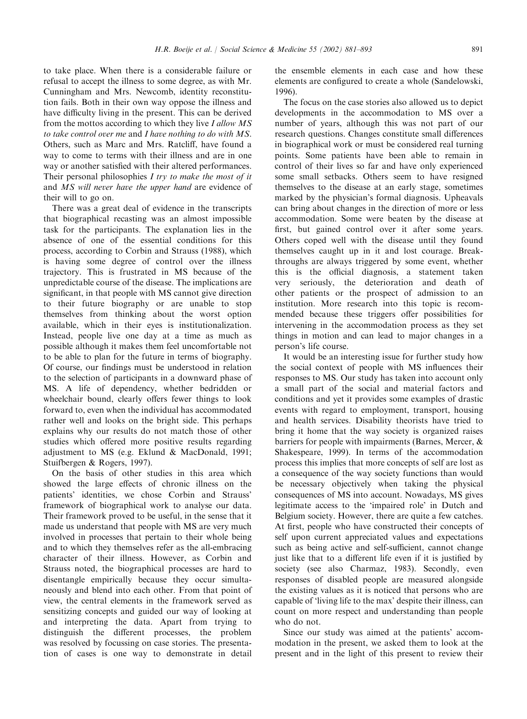to take place. When there is a considerable failure or refusal to accept the illness to some degree, as with Mr. Cunningham and Mrs. Newcomb, identity reconstitution fails. Both in their own way oppose the illness and have difficulty living in the present. This can be derived from the mottos according to which they live  $I$  allow  $MS$ to take control over me and I have nothing to do with MS. Others, such as Marc and Mrs. Ratcliff, have found a way to come to terms with their illness and are in one way or another satisfied with their altered performances. Their personal philosophies  $I$  try to make the most of it and MS will never have the upper hand are evidence of their will to go on.

There was a great deal of evidence in the transcripts that biographical recasting was an almost impossible task for the participants. The explanation lies in the absence of one of the essential conditions for this process, according to Corbin and Strauss (1988), which is having some degree of control over the illness trajectory. This is frustrated in MS because of the unpredictable course of the disease. The implications are significant, in that people with MS cannot give direction to their future biography or are unable to stop themselves from thinking about the worst option available, which in their eyes is institutionalization. Instead, people live one day at a time as much as possible although it makes them feel uncomfortable not to be able to plan for the future in terms of biography. Of course, our findings must be understood in relation to the selection of participants in a downward phase of MS. A life of dependency, whether bedridden or wheelchair bound, clearly offers fewer things to look forward to, even when the individual has accommodated rather well and looks on the bright side. This perhaps explains why our results do not match those of other studies which offered more positive results regarding adjustment to MS (e.g. Eklund & MacDonald, 1991; Stuifbergen & Rogers, 1997).

On the basis of other studies in this area which showed the large effects of chronic illness on the patients' identities, we chose Corbin and Strauss' framework of biographical work to analyse our data. Their framework proved to be useful, in the sense that it made us understand that people with MS are very much involved in processes that pertain to their whole being and to which they themselves refer as the all-embracing character of their illness. However, as Corbin and Strauss noted, the biographical processes are hard to disentangle empirically because they occur simultaneously and blend into each other. From that point of view, the central elements in the framework served as sensitizing concepts and guided our way of looking at and interpreting the data. Apart from trying to distinguish the different processes, the problem was resolved by focussing on case stories. The presentation of cases is one way to demonstrate in detail

the ensemble elements in each case and how these elements are configured to create a whole (Sandelowski, 1996).

The focus on the case stories also allowed us to depict developments in the accommodation to MS over a number of years, although this was not part of our research questions. Changes constitute small differences in biographical work or must be considered real turning points. Some patients have been able to remain in control of their lives so far and have only experienced some small setbacks. Others seem to have resigned themselves to the disease at an early stage, sometimes marked by the physician's formal diagnosis. Upheavals can bring about changes in the direction of more or less accommodation. Some were beaten by the disease at first, but gained control over it after some years. Others coped well with the disease until they found themselves caught up in it and lost courage. Breakthroughs are always triggered by some event, whether this is the official diagnosis, a statement taken very seriously, the deterioration and death of other patients or the prospect of admission to an institution. More research into this topic is recommended because these triggers offer possibilities for intervening in the accommodation process as they set things in motion and can lead to major changes in a person's life course.

It would be an interesting issue for further study how the social context of people with MS influences their responses to MS. Our study has taken into account only a small part of the social and material factors and conditions and yet it provides some examples of drastic events with regard to employment, transport, housing and health services. Disability theorists have tried to bring it home that the way society is organized raises barriers for people with impairments (Barnes, Mercer, & Shakespeare, 1999). In terms of the accommodation process this implies that more concepts of self are lost as a consequence of the way society functions than would be necessary objectively when taking the physical consequences of MS into account. Nowadays, MS gives legitimate access to the 'impaired role' in Dutch and Belgium society. However, there are quite a few catches. At first, people who have constructed their concepts of self upon current appreciated values and expectations such as being active and self-sufficient, cannot change just like that to a different life even if it is justified by society (see also Charmaz, 1983). Secondly, even responses of disabled people are measured alongside the existing values as it is noticed that persons who are capable of 'living life to the max' despite their illness, can count on more respect and understanding than people who do not.

Since our study was aimed at the patients' accommodation in the present, we asked them to look at the present and in the light of this present to review their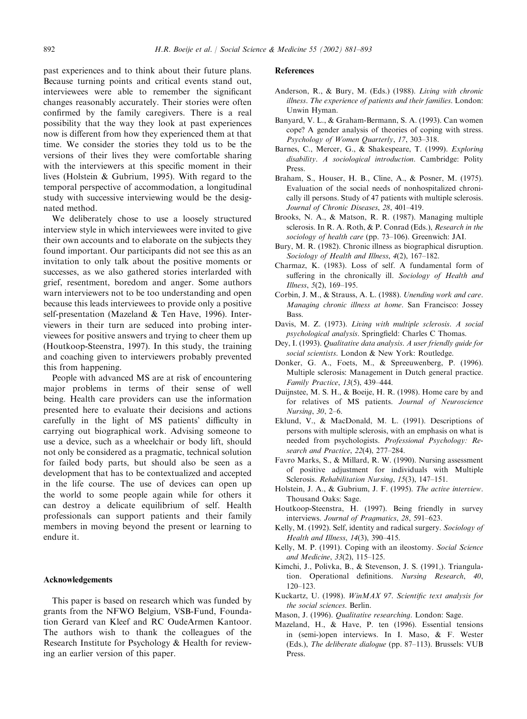past experiences and to think about their future plans. Because turning points and critical events stand out, interviewees were able to remember the significant changes reasonably accurately. Their stories were often confirmed by the family caregivers. There is a real possibility that the way they look at past experiences now is different from how they experienced them at that time. We consider the stories they told us to be the versions of their lives they were comfortable sharing with the interviewers at this specific moment in their lives (Holstein & Gubrium, 1995). With regard to the temporal perspective of accommodation, a longitudinal study with successive interviewing would be the designated method.

We deliberately chose to use a loosely structured interview style in which interviewees were invited to give their own accounts and to elaborate on the subjects they found important. Our participants did not see this as an invitation to only talk about the positive moments or successes, as we also gathered stories interlarded with grief, resentment, boredom and anger. Some authors warn interviewers not to be too understanding and open because this leads interviewees to provide only a positive self-presentation (Mazeland & Ten Have, 1996). Interviewers in their turn are seduced into probing interviewees for positive answers and trying to cheer them up (Houtkoop-Steenstra, 1997). In this study, the training and coaching given to interviewers probably prevented this from happening.

People with advanced MS are at risk of encountering major problems in terms of their sense of well being. Health care providers can use the information presented here to evaluate their decisions and actions carefully in the light of MS patients' difficulty in carrying out biographical work. Advising someone to use a device, such as a wheelchair or body lift, should not only be considered as a pragmatic, technical solution for failed body parts, but should also be seen as a development that has to be contextualized and accepted in the life course. The use of devices can open up the world to some people again while for others it can destroy a delicate equilibrium of self. Health professionals can support patients and their family members in moving beyond the present or learning to endure it.

#### Acknowledgements

This paper is based on research which was funded by grants from the NFWO Belgium, VSB-Fund, Foundation Gerard van Kleef and RC OudeArmen Kantoor. The authors wish to thank the colleagues of the Research Institute for Psychology & Health for reviewing an earlier version of this paper.

#### References

- Anderson, R., & Bury, M. (Eds.) (1988). Living with chronic illness. The experience of patients and their families. London: Unwin Hyman.
- Banyard, V. L., & Graham-Bermann, S. A. (1993). Can women cope? A gender analysis of theories of coping with stress. Psychology of Women Quarterly, 17, 303–318.
- Barnes, C., Mercer, G., & Shakespeare, T. (1999). Exploring disability. A sociological introduction. Cambridge: Polity Press.
- Braham, S., Houser, H. B., Cline, A., & Posner, M. (1975). Evaluation of the social needs of nonhospitalized chronically ill persons. Study of 47 patients with multiple sclerosis. Journal of Chronic Diseases, 28, 401–419.
- Brooks, N. A., & Matson, R. R. (1987). Managing multiple sclerosis. In R. A. Roth, & P. Conrad (Eds.), Research in the sociology of health care (pp. 73–106). Greenwich: JAI.
- Bury, M. R. (1982). Chronic illness as biographical disruption. Sociology of Health and Illness, 4(2), 167–182.
- Charmaz, K. (1983). Loss of self. A fundamental form of suffering in the chronically ill. Sociology of Health and Illness, 5(2), 169–195.
- Corbin, J. M., & Strauss, A. L. (1988). Unending work and care. Managing chronic illness at home. San Francisco: Jossey Bass.
- Davis, M. Z. (1973). Living with multiple sclerosis. A social psychological analysis. Springfield: Charles C Thomas.
- Dey, I. (1993). Qualitative data analysis. A user friendly guide for social scientists. London & New York: Routledge.
- Donker, G. A., Foets, M., & Spreeuwenberg, P. (1996). Multiple sclerosis: Management in Dutch general practice. Family Practice, 13(5), 439–444.
- Duijnstee, M. S. H., & Boeije, H. R. (1998). Home care by and for relatives of MS patients. Journal of Neuroscience Nursing, 30, 2–6.
- Eklund, V., & MacDonald, M. L. (1991). Descriptions of persons with multiple sclerosis, with an emphasis on what is needed from psychologists. Professional Psychology: Research and Practice, 22(4), 277–284.
- Favro Marks, S., & Millard, R. W. (1990). Nursing assessment of positive adjustment for individuals with Multiple Sclerosis. *Rehabilitation Nursing*, 15(3), 147-151.
- Holstein, J. A., & Gubrium, J. F. (1995). The active interview. Thousand Oaks: Sage.
- Houtkoop-Steenstra, H. (1997). Being friendly in survey interviews. Journal of Pragmatics, 28, 591–623.
- Kelly, M. (1992). Self, identity and radical surgery. Sociology of Health and Illness, 14(3), 390–415.
- Kelly, M. P. (1991). Coping with an ileostomy. Social Science and Medicine, 33(2), 115–125.
- Kimchi, J., Polivka, B., & Stevenson, J. S. (1991,). Triangulation. Operational definitions. Nursing Research, 40, 120–123.
- Kuckartz, U. (1998). WinMAX 97. Scientific text analysis for the social sciences. Berlin.
- Mason, J. (1996). Qualitative researching. London: Sage.
- Mazeland, H., & Have, P. ten (1996). Essential tensions in (semi-)open interviews. In I. Maso, & F. Wester (Eds.), The deliberate dialogue (pp. 87–113). Brussels: VUB Press.